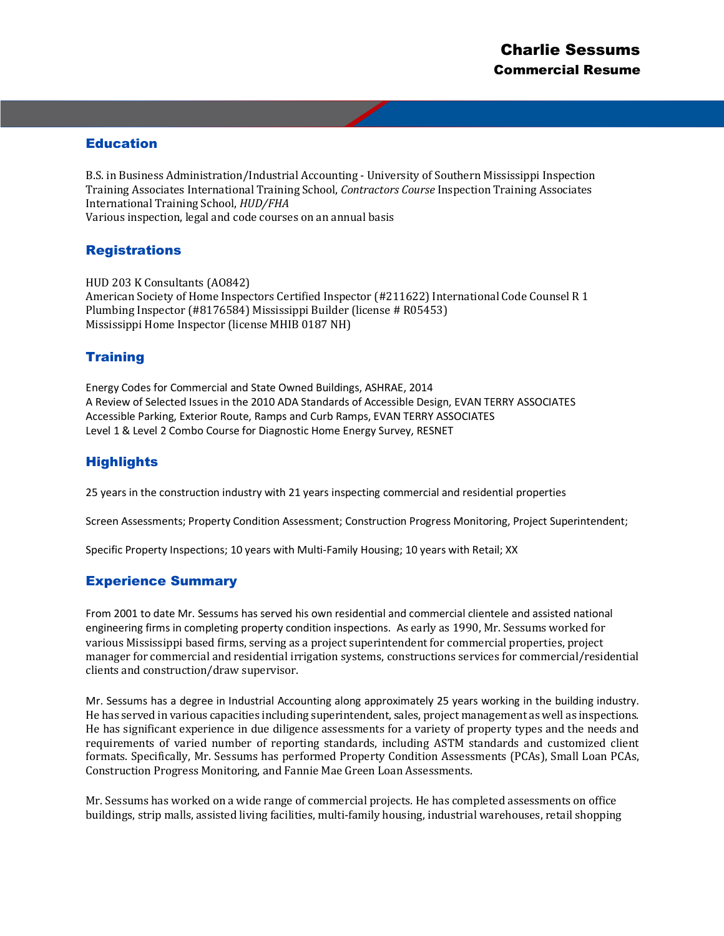# Education

B.S. in Business Administration/Industrial Accounting - University of Southern Mississippi Inspection Training Associates International Training School, *Contractors Course* Inspection Training Associates International Training School, *HUD/FHA* Various inspection, legal and code courses on an annual basis

### **Registrations**

HUD 203 K Consultants (AO842) American Society of Home Inspectors Certified Inspector (#211622) International Code Counsel R 1 Plumbing Inspector (#8176584) Mississippi Builder (license # R05453) Mississippi Home Inspector (license MHIB 0187 NH)

# **Training**

Energy Codes for Commercial and State Owned Buildings, ASHRAE, 2014 A Review of Selected Issues in the 2010 ADA Standards of Accessible Design, EVAN TERRY ASSOCIATES Accessible Parking, Exterior Route, Ramps and Curb Ramps, EVAN TERRY ASSOCIATES Level 1 & Level 2 Combo Course for Diagnostic Home Energy Survey, RESNET

# **Highlights**

25 years in the construction industry with 21 years inspecting commercial and residential properties

Screen Assessments; Property Condition Assessment; Construction Progress Monitoring, Project Superintendent;

Specific Property Inspections; 10 years with Multi-Family Housing; 10 years with Retail; XX

# Experience Summary

From 2001 to date Mr. Sessums has served his own residential and commercial clientele and assisted national engineering firms in completing property condition inspections. As early as 1990, Mr. Sessums worked for various Mississippi based firms, serving as a project superintendent for commercial properties, project manager for commercial and residential irrigation systems, constructions services for commercial/residential clients and construction/draw supervisor.

Mr. Sessums has a degree in Industrial Accounting along approximately 25 years working in the building industry. He has served in various capacities including superintendent, sales, project management as well as inspections. He has significant experience in due diligence assessments for a variety of property types and the needs and requirements of varied number of reporting standards, including ASTM standards and customized client formats. Specifically, Mr. Sessums has performed Property Condition Assessments (PCAs), Small Loan PCAs, Construction Progress Monitoring, and Fannie Mae Green Loan Assessments.

Mr. Sessums has worked on a wide range of commercial projects. He has completed assessments on office buildings, strip malls, assisted living facilities, multi-family housing, industrial warehouses, retail shopping